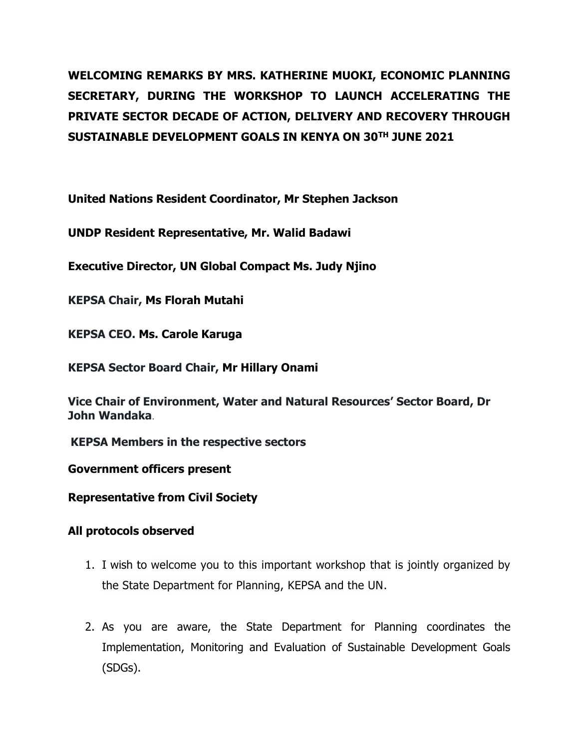**WELCOMING REMARKS BY MRS. KATHERINE MUOKI, ECONOMIC PLANNING SECRETARY, DURING THE WORKSHOP TO LAUNCH ACCELERATING THE PRIVATE SECTOR DECADE OF ACTION, DELIVERY AND RECOVERY THROUGH SUSTAINABLE DEVELOPMENT GOALS IN KENYA ON 30TH JUNE 2021**

**United Nations Resident Coordinator, Mr Stephen Jackson**

**UNDP Resident Representative, Mr. Walid Badawi**

**Executive Director, UN Global Compact Ms. Judy Njino**

**KEPSA Chair, Ms Florah Mutahi**

**KEPSA CEO. Ms. Carole Karuga**

**KEPSA Sector Board Chair, Mr Hillary Onami**

**Vice Chair of Environment, Water and Natural Resources' Sector Board, Dr John Wandaka**.

**KEPSA Members in the respective sectors**

**Government officers present**

**Representative from Civil Society**

## **All protocols observed**

- 1. I wish to welcome you to this important workshop that is jointly organized by the State Department for Planning, KEPSA and the UN.
- 2. As you are aware, the State Department for Planning coordinates the Implementation, Monitoring and Evaluation of Sustainable Development Goals (SDGs).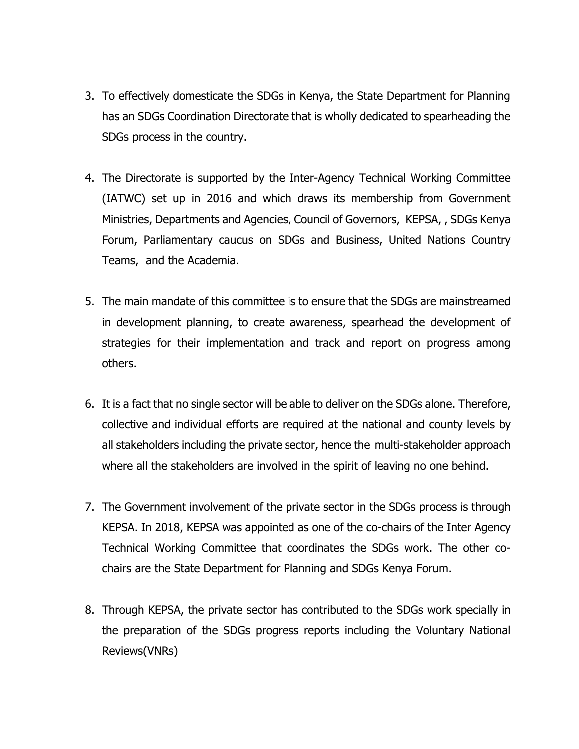- 3. To effectively domesticate the SDGs in Kenya, the State Department for Planning has an SDGs Coordination Directorate that is wholly dedicated to spearheading the SDGs process in the country.
- 4. The Directorate is supported by the Inter-Agency Technical Working Committee (IATWC) set up in 2016 and which draws its membership from Government Ministries, Departments and Agencies, Council of Governors, KEPSA, , SDGs Kenya Forum, Parliamentary caucus on SDGs and Business, United Nations Country Teams, and the Academia.
- 5. The main mandate of this committee is to ensure that the SDGs are mainstreamed in development planning, to create awareness, spearhead the development of strategies for their implementation and track and report on progress among others.
- 6. It is a fact that no single sector will be able to deliver on the SDGs alone. Therefore, collective and individual efforts are required at the national and county levels by all stakeholders including the private sector, hence the multi-stakeholder approach where all the stakeholders are involved in the spirit of leaving no one behind.
- 7. The Government involvement of the private sector in the SDGs process is through KEPSA. In 2018, KEPSA was appointed as one of the co-chairs of the Inter Agency Technical Working Committee that coordinates the SDGs work. The other cochairs are the State Department for Planning and SDGs Kenya Forum.
- 8. Through KEPSA, the private sector has contributed to the SDGs work specially in the preparation of the SDGs progress reports including the Voluntary National Reviews(VNRs)